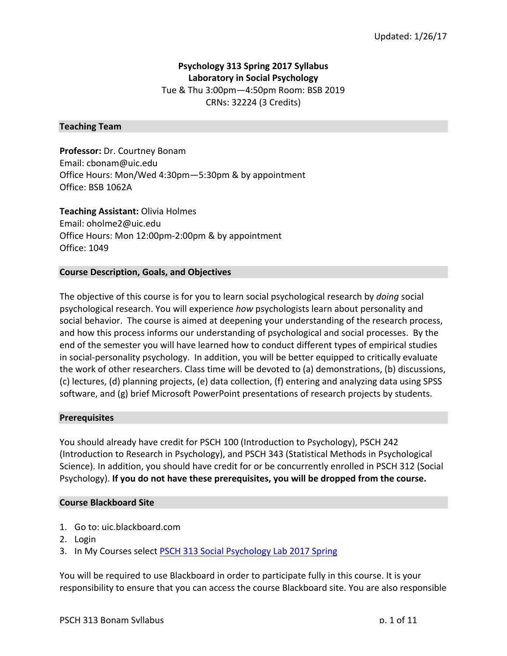# **Psychology 313 Spring 2017 Syllabus Laboratory in Social Psychology** Tue & Thu 3:00pm-4:50pm Room: BSB 2019 CRNs: 32224 (3 Credits)

## **Teaching Team**

**Professor:** Dr. Courtney Bonam Email: cbonam@uic.edu Office Hours: Mon/Wed 4:30pm—5:30pm & by appointment Office: BSB 1062A

**Teaching Assistant: Olivia Holmes** Email: oholme2@uic.edu Office Hours: Mon 12:00pm-2:00pm & by appointment Office: 1049

## **Course Description, Goals, and Objectives**

The objective of this course is for you to learn social psychological research by *doing* social psychological research. You will experience *how* psychologists learn about personality and social behavior. The course is aimed at deepening your understanding of the research process, and how this process informs our understanding of psychological and social processes. By the end of the semester you will have learned how to conduct different types of empirical studies in social-personality psychology. In addition, you will be better equipped to critically evaluate the work of other researchers. Class time will be devoted to (a) demonstrations, (b) discussions, (c) lectures, (d) planning projects, (e) data collection, (f) entering and analyzing data using SPSS software, and (g) brief Microsoft PowerPoint presentations of research projects by students.

## **Prerequisites**

You should already have credit for PSCH 100 (Introduction to Psychology), PSCH 242 (Introduction to Research in Psychology), and PSCH 343 (Statistical Methods in Psychological Science). In addition, you should have credit for or be concurrently enrolled in PSCH 312 (Social Psychology). If you do not have these prerequisites, you will be dropped from the course.

## **Course Blackboard Site**

- 1. Go to: uic.blackboard.com
- 2. Login
- 3. In My Courses select PSCH 313 Social Psychology Lab 2017 Spring

You will be required to use Blackboard in order to participate fully in this course. It is your responsibility to ensure that you can access the course Blackboard site. You are also responsible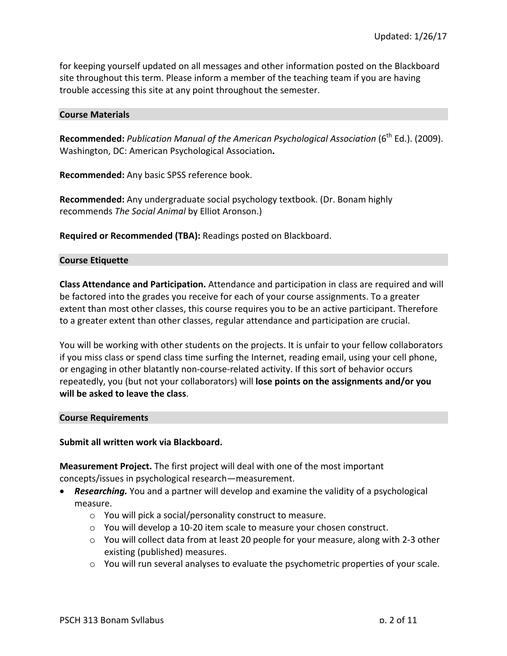for keeping yourself updated on all messages and other information posted on the Blackboard site throughout this term. Please inform a member of the teaching team if you are having trouble accessing this site at any point throughout the semester.

#### **Course Materials**

Recommended: *Publication Manual of the American Psychological Association* (6<sup>th</sup> Ed.). (2009). Washington, DC: American Psychological Association**.**

**Recommended:** Any basic SPSS reference book.

**Recommended:** Any undergraduate social psychology textbook. (Dr. Bonam highly recommends *The Social Animal* by Elliot Aronson.)

**Required or Recommended (TBA):** Readings posted on Blackboard.

## **Course Etiquette**

**Class Attendance and Participation.** Attendance and participation in class are required and will be factored into the grades you receive for each of your course assignments. To a greater extent than most other classes, this course requires you to be an active participant. Therefore to a greater extent than other classes, regular attendance and participation are crucial.

You will be working with other students on the projects. It is unfair to your fellow collaborators if you miss class or spend class time surfing the Internet, reading email, using your cell phone, or engaging in other blatantly non-course-related activity. If this sort of behavior occurs repeatedly, you (but not your collaborators) will **lose points on the assignments and/or you will be asked to leave the class.** 

#### **Course Requirements**

## Submit all written work via Blackboard.

**Measurement Project.** The first project will deal with one of the most important concepts/issues in psychological research—measurement.

- **Researching.** You and a partner will develop and examine the validity of a psychological measure.
	- $\circ$  You will pick a social/personality construct to measure.
	- $\circ$  You will develop a 10-20 item scale to measure your chosen construct.
	- $\circ$  You will collect data from at least 20 people for your measure, along with 2-3 other existing (published) measures.
	- $\circ$  You will run several analyses to evaluate the psychometric properties of your scale.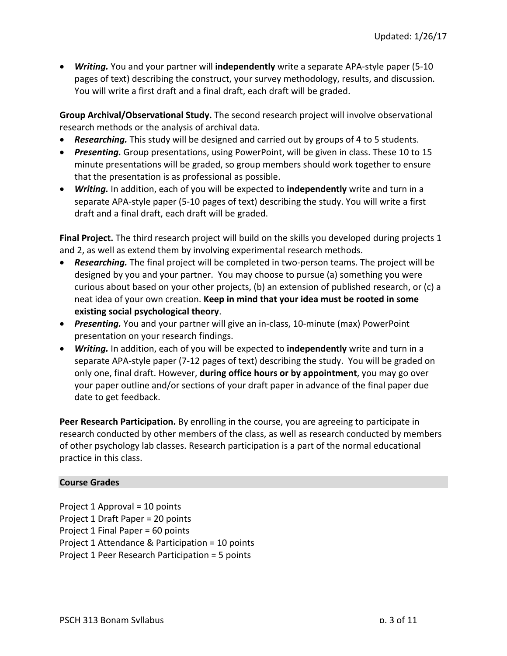• **Writing.** You and your partner will **independently** write a separate APA-style paper (5-10 pages of text) describing the construct, your survey methodology, results, and discussion. You will write a first draft and a final draft, each draft will be graded.

**Group Archival/Observational Study.** The second research project will involve observational research methods or the analysis of archival data.

- **Researching.** This study will be designed and carried out by groups of 4 to 5 students.
- **Presenting.** Group presentations, using PowerPoint, will be given in class. These 10 to 15 minute presentations will be graded, so group members should work together to ensure that the presentation is as professional as possible.
- **Writing.** In addition, each of you will be expected to **independently** write and turn in a separate APA-style paper (5-10 pages of text) describing the study. You will write a first draft and a final draft, each draft will be graded.

**Final Project.** The third research project will build on the skills you developed during projects 1 and 2, as well as extend them by involving experimental research methods.

- **Researching.** The final project will be completed in two-person teams. The project will be designed by you and your partner. You may choose to pursue (a) something you were curious about based on your other projects, (b) an extension of published research, or (c) a neat idea of your own creation. **Keep in mind that your idea must be rooted in some existing social psychological theory.**
- *Presenting.* You and your partner will give an in-class, 10-minute (max) PowerPoint presentation on your research findings.
- **Writing.** In addition, each of you will be expected to **independently** write and turn in a separate APA-style paper  $(7-12)$  pages of text) describing the study. You will be graded on only one, final draft. However, **during office hours or by appointment**, you may go over your paper outline and/or sections of your draft paper in advance of the final paper due date to get feedback.

**Peer Research Participation.** By enrolling in the course, you are agreeing to participate in research conducted by other members of the class, as well as research conducted by members of other psychology lab classes. Research participation is a part of the normal educational practice in this class.

## **Course Grades**

Project  $1$  Approval =  $10$  points Project 1 Draft Paper = 20 points Project 1 Final Paper =  $60$  points Project 1 Attendance & Participation = 10 points Project 1 Peer Research Participation = 5 points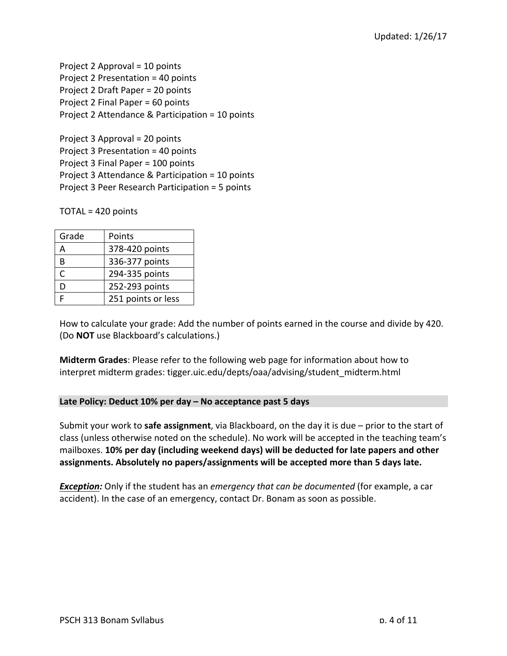Project  $2$  Approval =  $10$  points Project 2 Presentation = 40 points Project 2 Draft Paper = 20 points Project 2 Final Paper = 60 points Project 2 Attendance & Participation = 10 points

Project  $3$  Approval =  $20$  points Project  $3$  Presentation =  $40$  points Project 3 Final Paper = 100 points Project 3 Attendance & Participation = 10 points Project 3 Peer Research Participation = 5 points

 $TOTAL = 420$  points

| Grade | Points             |
|-------|--------------------|
|       | 378-420 points     |
| R     | 336-377 points     |
| C     | 294-335 points     |
| D     | 252-293 points     |
|       | 251 points or less |

How to calculate your grade: Add the number of points earned in the course and divide by 420. (Do **NOT** use Blackboard's calculations.)

**Midterm Grades:** Please refer to the following web page for information about how to interpret midterm grades: tigger.uic.edu/depts/oaa/advising/student\_midterm.html

# **Late Policy: Deduct 10% per day – No acceptance past 5 days**

Submit your work to **safe assignment**, via Blackboard, on the day it is due – prior to the start of class (unless otherwise noted on the schedule). No work will be accepted in the teaching team's mailboxes. 10% per day (including weekend days) will be deducted for late papers and other assignments. Absolutely no papers/assignments will be accepted more than 5 days late.

*Exception:* Only if the student has an *emergency that can be documented* (for example, a car accident). In the case of an emergency, contact Dr. Bonam as soon as possible.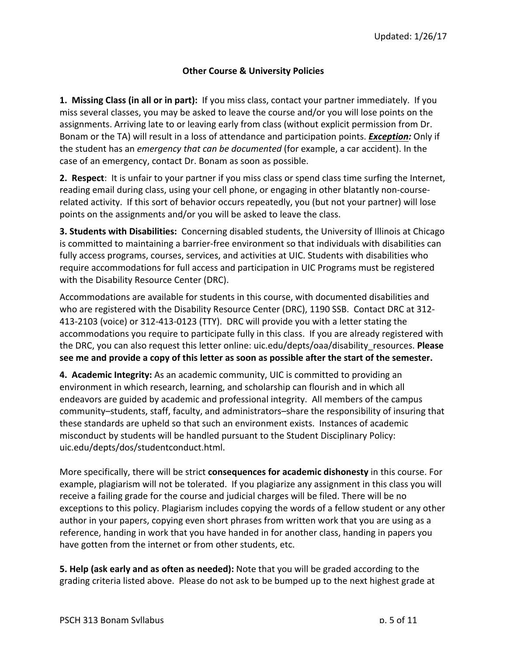## **Other Course & University Policies**

**1. Missing Class (in all or in part):** If you miss class, contact your partner immediately. If you miss several classes, you may be asked to leave the course and/or you will lose points on the assignments. Arriving late to or leaving early from class (without explicit permission from Dr. Bonam or the TA) will result in a loss of attendance and participation points. *Exception:* Only if the student has an *emergency that can be documented* (for example, a car accident). In the case of an emergency, contact Dr. Bonam as soon as possible.

**2.** Respect: It is unfair to your partner if you miss class or spend class time surfing the Internet, reading email during class, using your cell phone, or engaging in other blatantly non-courserelated activity. If this sort of behavior occurs repeatedly, you (but not your partner) will lose points on the assignments and/or you will be asked to leave the class.

**3. Students with Disabilities:** Concerning disabled students, the University of Illinois at Chicago is committed to maintaining a barrier-free environment so that individuals with disabilities can fully access programs, courses, services, and activities at UIC. Students with disabilities who require accommodations for full access and participation in UIC Programs must be registered with the Disability Resource Center (DRC).

Accommodations are available for students in this course, with documented disabilities and who are registered with the Disability Resource Center (DRC), 1190 SSB. Contact DRC at 312-413-2103 (voice) or 312-413-0123 (TTY). DRC will provide you with a letter stating the accommodations you require to participate fully in this class. If you are already registered with the DRC, you can also request this letter online: uic.edu/depts/oaa/disability\_resources. Please see me and provide a copy of this letter as soon as possible after the start of the semester.

**4. Academic Integrity:** As an academic community, UIC is committed to providing an environment in which research, learning, and scholarship can flourish and in which all endeavors are guided by academic and professional integrity. All members of the campus community–students, staff, faculty, and administrators–share the responsibility of insuring that these standards are upheld so that such an environment exists. Instances of academic misconduct by students will be handled pursuant to the Student Disciplinary Policy: uic.edu/depts/dos/studentconduct.html. 

More specifically, there will be strict **consequences for academic dishonesty** in this course. For example, plagiarism will not be tolerated. If you plagiarize any assignment in this class you will receive a failing grade for the course and judicial charges will be filed. There will be no exceptions to this policy. Plagiarism includes copying the words of a fellow student or any other author in your papers, copying even short phrases from written work that you are using as a reference, handing in work that you have handed in for another class, handing in papers you have gotten from the internet or from other students, etc.

**5. Help (ask early and as often as needed):** Note that you will be graded according to the grading criteria listed above. Please do not ask to be bumped up to the next highest grade at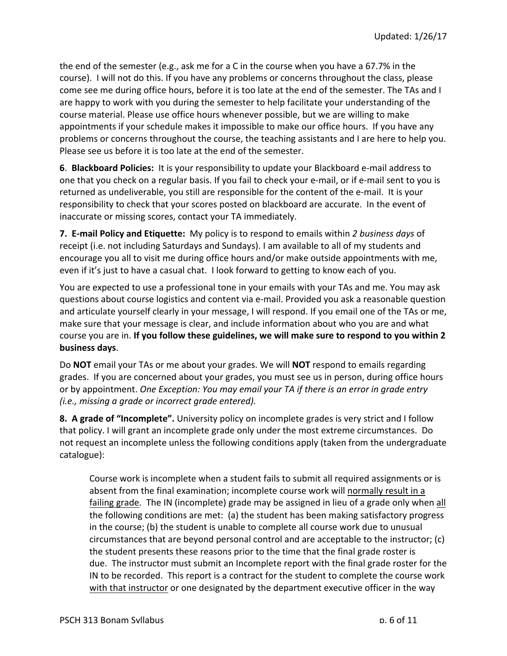the end of the semester (e.g., ask me for a C in the course when you have a 67.7% in the course). I will not do this. If you have any problems or concerns throughout the class, please come see me during office hours, before it is too late at the end of the semester. The TAs and I are happy to work with you during the semester to help facilitate your understanding of the course material. Please use office hours whenever possible, but we are willing to make appointments if your schedule makes it impossible to make our office hours. If you have any problems or concerns throughout the course, the teaching assistants and I are here to help you. Please see us before it is too late at the end of the semester.

**6. Blackboard Policies:** It is your responsibility to update your Blackboard e-mail address to one that you check on a regular basis. If you fail to check your e-mail, or if e-mail sent to you is returned as undeliverable, you still are responsible for the content of the e-mail. It is your responsibility to check that your scores posted on blackboard are accurate. In the event of inaccurate or missing scores, contact your TA immediately.

**7. E-mail Policy and Etiquette:** My policy is to respond to emails within 2 business days of receipt (i.e. not including Saturdays and Sundays). I am available to all of my students and encourage you all to visit me during office hours and/or make outside appointments with me, even if it's just to have a casual chat. I look forward to getting to know each of you.

You are expected to use a professional tone in your emails with your TAs and me. You may ask questions about course logistics and content via e-mail. Provided you ask a reasonable question and articulate yourself clearly in your message, I will respond. If you email one of the TAs or me, make sure that your message is clear, and include information about who you are and what course you are in. If you follow these guidelines, we will make sure to respond to you within 2 **business days**. 

Do **NOT** email your TAs or me about your grades. We will **NOT** respond to emails regarding grades. If you are concerned about your grades, you must see us in person, during office hours or by appointment. *One Exception: You may email your TA if there is an error in grade entry (i.e., missing a grade or incorrect grade entered).*

**8. A grade of "Incomplete".** University policy on incomplete grades is very strict and I follow that policy. I will grant an incomplete grade only under the most extreme circumstances. Do not request an incomplete unless the following conditions apply (taken from the undergraduate catalogue): 

Course work is incomplete when a student fails to submit all required assignments or is absent from the final examination; incomplete course work will normally result in a failing grade. The IN (incomplete) grade may be assigned in lieu of a grade only when all the following conditions are met: (a) the student has been making satisfactory progress in the course; (b) the student is unable to complete all course work due to unusual circumstances that are beyond personal control and are acceptable to the instructor;  $(c)$ the student presents these reasons prior to the time that the final grade roster is due. The instructor must submit an Incomplete report with the final grade roster for the IN to be recorded. This report is a contract for the student to complete the course work with that instructor or one designated by the department executive officer in the way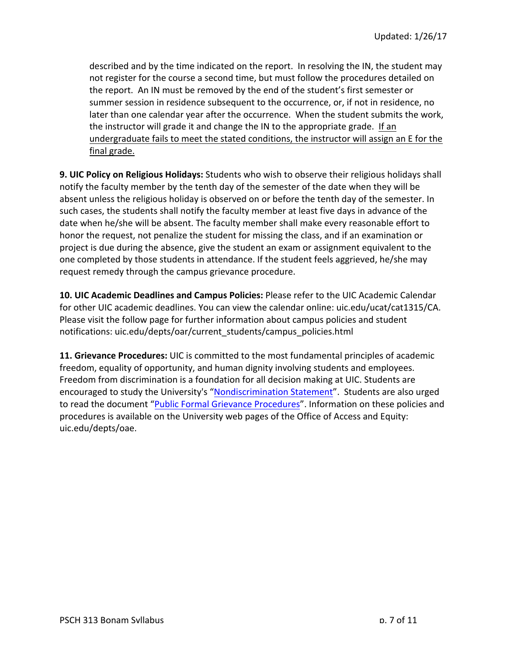described and by the time indicated on the report. In resolving the IN, the student may not register for the course a second time, but must follow the procedures detailed on the report. An IN must be removed by the end of the student's first semester or summer session in residence subsequent to the occurrence, or, if not in residence, no later than one calendar year after the occurrence. When the student submits the work, the instructor will grade it and change the IN to the appropriate grade. If an undergraduate fails to meet the stated conditions, the instructor will assign an E for the final grade.

**9. UIC Policy on Religious Holidays:** Students who wish to observe their religious holidays shall notify the faculty member by the tenth day of the semester of the date when they will be absent unless the religious holiday is observed on or before the tenth day of the semester. In such cases, the students shall notify the faculty member at least five days in advance of the date when he/she will be absent. The faculty member shall make every reasonable effort to honor the request, not penalize the student for missing the class, and if an examination or project is due during the absence, give the student an exam or assignment equivalent to the one completed by those students in attendance. If the student feels aggrieved, he/she may request remedy through the campus grievance procedure.

**10. UIC Academic Deadlines and Campus Policies: Please refer to the UIC Academic Calendar** for other UIC academic deadlines. You can view the calendar online: uic.edu/ucat/cat1315/CA. Please visit the follow page for further information about campus policies and student notifications: uic.edu/depts/oar/current\_students/campus\_policies.html

**11. Grievance Procedures:** UIC is committed to the most fundamental principles of academic freedom, equality of opportunity, and human dignity involving students and employees. Freedom from discrimination is a foundation for all decision making at UIC. Students are encouraged to study the University's "Nondiscrimination Statement". Students are also urged to read the document "Public Formal Grievance Procedures". Information on these policies and procedures is available on the University web pages of the Office of Access and Equity: uic.edu/depts/oae.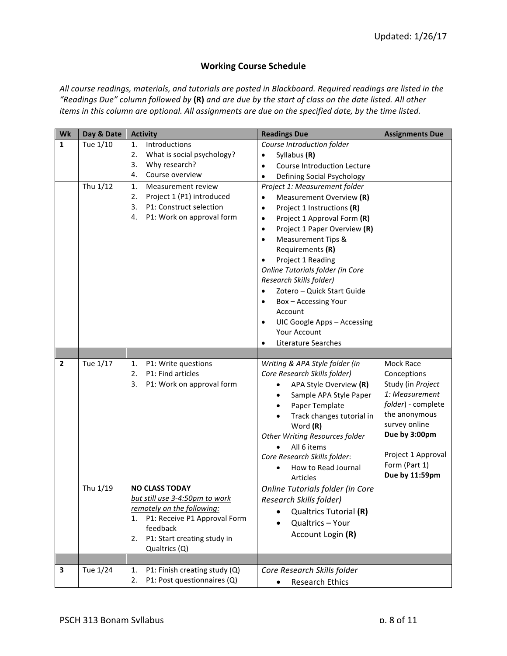# **Working Course Schedule**

All course readings, materials, and tutorials are posted in Blackboard. Required readings are listed in the *"Readings Due" column followed by* **(R)** *and are due by the start of class on the date listed. All other items* in this column are optional. All assignments are due on the specified date, by the time listed.

| Wk             | Day & Date | <b>Activity</b>                                         | <b>Readings Due</b>                        | <b>Assignments Due</b> |
|----------------|------------|---------------------------------------------------------|--------------------------------------------|------------------------|
| $\mathbf{1}$   | Tue 1/10   | Introductions<br>1.                                     | Course Introduction folder                 |                        |
|                |            | What is social psychology?<br>2.                        | Syllabus (R)<br>$\bullet$                  |                        |
|                |            | Why research?<br>3.                                     | Course Introduction Lecture<br>$\bullet$   |                        |
|                |            | Course overview<br>4.                                   | Defining Social Psychology<br>$\bullet$    |                        |
|                | Thu 1/12   | 1.<br>Measurement review                                | Project 1: Measurement folder              |                        |
|                |            | Project 1 (P1) introduced<br>2.                         | Measurement Overview (R)<br>$\bullet$      |                        |
|                |            | P1: Construct selection<br>3.                           | Project 1 Instructions (R)<br>$\bullet$    |                        |
|                |            | P1: Work on approval form<br>4.                         | Project 1 Approval Form (R)<br>$\bullet$   |                        |
|                |            |                                                         | Project 1 Paper Overview (R)<br>$\bullet$  |                        |
|                |            |                                                         | <b>Measurement Tips &amp;</b><br>$\bullet$ |                        |
|                |            |                                                         | Requirements (R)                           |                        |
|                |            |                                                         | Project 1 Reading                          |                        |
|                |            |                                                         | Online Tutorials folder (in Core           |                        |
|                |            |                                                         | Research Skills folder)                    |                        |
|                |            |                                                         | Zotero - Quick Start Guide<br>$\bullet$    |                        |
|                |            |                                                         | Box - Accessing Your                       |                        |
|                |            |                                                         | Account                                    |                        |
|                |            |                                                         | UIC Google Apps - Accessing<br>$\bullet$   |                        |
|                |            |                                                         | <b>Your Account</b>                        |                        |
|                |            |                                                         | Literature Searches<br>$\bullet$           |                        |
|                |            |                                                         |                                            |                        |
| $\overline{2}$ | Tue 1/17   | P1: Write questions<br>1.                               | Writing & APA Style folder (in             | Mock Race              |
|                |            | P1: Find articles<br>2.                                 | Core Research Skills folder)               | Conceptions            |
|                |            | P1: Work on approval form<br>3.                         | APA Style Overview (R)<br>$\bullet$        | Study (in Project      |
|                |            |                                                         | Sample APA Style Paper<br>$\bullet$        | 1: Measurement         |
|                |            |                                                         | Paper Template                             | folder) - complete     |
|                |            |                                                         | Track changes tutorial in                  | the anonymous          |
|                |            |                                                         | Word (R)                                   | survey online          |
|                |            |                                                         | <b>Other Writing Resources folder</b>      | Due by 3:00pm          |
|                |            |                                                         | All 6 items                                | Project 1 Approval     |
|                |            |                                                         | Core Research Skills folder:               | Form (Part 1)          |
|                |            |                                                         | How to Read Journal                        | Due by 11:59pm         |
|                |            |                                                         | Articles                                   |                        |
|                | Thu 1/19   | <b>NO CLASS TODAY</b><br>but still use 3-4:50pm to work | Online Tutorials folder (in Core           |                        |
|                |            | remotely on the following:                              | Research Skills folder)                    |                        |
|                |            | P1: Receive P1 Approval Form<br>1.                      | Qualtrics Tutorial (R)                     |                        |
|                |            | feedback                                                | Qualtrics - Your<br>$\bullet$              |                        |
|                |            | P1: Start creating study in<br>2.                       | Account Login (R)                          |                        |
|                |            | Qualtrics (Q)                                           |                                            |                        |
|                |            |                                                         |                                            |                        |
| 3              | Tue 1/24   | P1: Finish creating study (Q)<br>1.                     | Core Research Skills folder                |                        |
|                |            | P1: Post questionnaires (Q)<br>2.                       | <b>Research Ethics</b>                     |                        |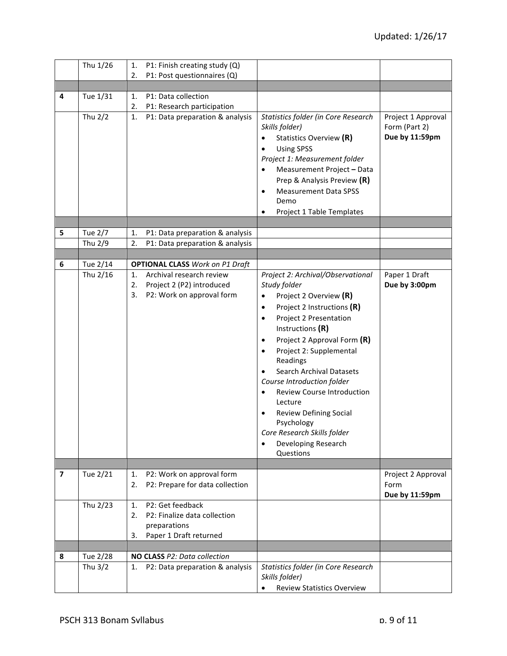|                          | Thu 1/26  | P1: Finish creating study (Q)<br>1.                                |                                                                                                                                                                                                                                                                                                    |                                                       |
|--------------------------|-----------|--------------------------------------------------------------------|----------------------------------------------------------------------------------------------------------------------------------------------------------------------------------------------------------------------------------------------------------------------------------------------------|-------------------------------------------------------|
|                          |           | P1: Post questionnaires (Q)<br>2.                                  |                                                                                                                                                                                                                                                                                                    |                                                       |
|                          |           |                                                                    |                                                                                                                                                                                                                                                                                                    |                                                       |
| 4                        | Tue 1/31  | P1: Data collection<br>1.                                          |                                                                                                                                                                                                                                                                                                    |                                                       |
|                          |           | 2.<br>P1: Research participation                                   |                                                                                                                                                                                                                                                                                                    |                                                       |
|                          | Thu 2/2   | 1.<br>P1: Data preparation & analysis                              | Statistics folder (in Core Research<br>Skills folder)<br>Statistics Overview (R)<br><b>Using SPSS</b><br>Project 1: Measurement folder<br>Measurement Project - Data<br>$\bullet$<br>Prep & Analysis Preview (R)<br><b>Measurement Data SPSS</b><br>$\bullet$<br>Demo<br>Project 1 Table Templates | Project 1 Approval<br>Form (Part 2)<br>Due by 11:59pm |
|                          |           |                                                                    |                                                                                                                                                                                                                                                                                                    |                                                       |
| 5                        | Tue 2/7   | 1.<br>P1: Data preparation & analysis                              |                                                                                                                                                                                                                                                                                                    |                                                       |
|                          | Thu 2/9   | 2.<br>P1: Data preparation & analysis                              |                                                                                                                                                                                                                                                                                                    |                                                       |
|                          |           |                                                                    |                                                                                                                                                                                                                                                                                                    |                                                       |
| 6                        | Tue 2/14  | <b>OPTIONAL CLASS Work on P1 Draft</b><br>Archival research review |                                                                                                                                                                                                                                                                                                    |                                                       |
|                          | Thu 2/16  | 1.<br>2.<br>Project 2 (P2) introduced                              | Project 2: Archival/Observational<br>Study folder                                                                                                                                                                                                                                                  | Paper 1 Draft<br>Due by 3:00pm                        |
|                          |           | P2: Work on approval form<br>3.                                    |                                                                                                                                                                                                                                                                                                    |                                                       |
|                          |           |                                                                    | Project 2 Overview (R)<br>$\bullet$                                                                                                                                                                                                                                                                |                                                       |
|                          |           |                                                                    | Project 2 Instructions (R)<br>$\bullet$                                                                                                                                                                                                                                                            |                                                       |
|                          |           |                                                                    | Project 2 Presentation<br>$\bullet$                                                                                                                                                                                                                                                                |                                                       |
|                          |           |                                                                    | Instructions (R)                                                                                                                                                                                                                                                                                   |                                                       |
|                          |           |                                                                    | Project 2 Approval Form (R)<br>$\bullet$                                                                                                                                                                                                                                                           |                                                       |
|                          |           |                                                                    | Project 2: Supplemental<br>$\bullet$                                                                                                                                                                                                                                                               |                                                       |
|                          |           |                                                                    | Readings                                                                                                                                                                                                                                                                                           |                                                       |
|                          |           |                                                                    | <b>Search Archival Datasets</b>                                                                                                                                                                                                                                                                    |                                                       |
|                          |           |                                                                    | Course Introduction folder                                                                                                                                                                                                                                                                         |                                                       |
|                          |           |                                                                    | <b>Review Course Introduction</b><br>$\bullet$<br>Lecture                                                                                                                                                                                                                                          |                                                       |
|                          |           |                                                                    | <b>Review Defining Social</b>                                                                                                                                                                                                                                                                      |                                                       |
|                          |           |                                                                    | Psychology                                                                                                                                                                                                                                                                                         |                                                       |
|                          |           |                                                                    | Core Research Skills folder                                                                                                                                                                                                                                                                        |                                                       |
|                          |           |                                                                    | Developing Research<br>$\bullet$                                                                                                                                                                                                                                                                   |                                                       |
|                          |           |                                                                    | Questions                                                                                                                                                                                                                                                                                          |                                                       |
|                          |           |                                                                    |                                                                                                                                                                                                                                                                                                    |                                                       |
| $\overline{\phantom{a}}$ | Tue 2/21  | P2: Work on approval form<br>1.                                    |                                                                                                                                                                                                                                                                                                    | Project 2 Approval                                    |
|                          |           | P2: Prepare for data collection<br>2.                              |                                                                                                                                                                                                                                                                                                    | Form                                                  |
|                          |           |                                                                    |                                                                                                                                                                                                                                                                                                    | Due by 11:59pm                                        |
|                          | Thu 2/23  | P2: Get feedback<br>1.                                             |                                                                                                                                                                                                                                                                                                    |                                                       |
|                          |           | P2: Finalize data collection<br>2.                                 |                                                                                                                                                                                                                                                                                                    |                                                       |
|                          |           | preparations                                                       |                                                                                                                                                                                                                                                                                                    |                                                       |
|                          |           | Paper 1 Draft returned<br>3.                                       |                                                                                                                                                                                                                                                                                                    |                                                       |
|                          |           |                                                                    |                                                                                                                                                                                                                                                                                                    |                                                       |
| 8                        | Tue 2/28  | NO CLASS P2: Data collection                                       |                                                                                                                                                                                                                                                                                                    |                                                       |
|                          | Thu $3/2$ | P2: Data preparation & analysis<br>1.                              | Statistics folder (in Core Research                                                                                                                                                                                                                                                                |                                                       |
|                          |           |                                                                    | Skills folder)                                                                                                                                                                                                                                                                                     |                                                       |
|                          |           |                                                                    | <b>Review Statistics Overview</b><br>$\bullet$                                                                                                                                                                                                                                                     |                                                       |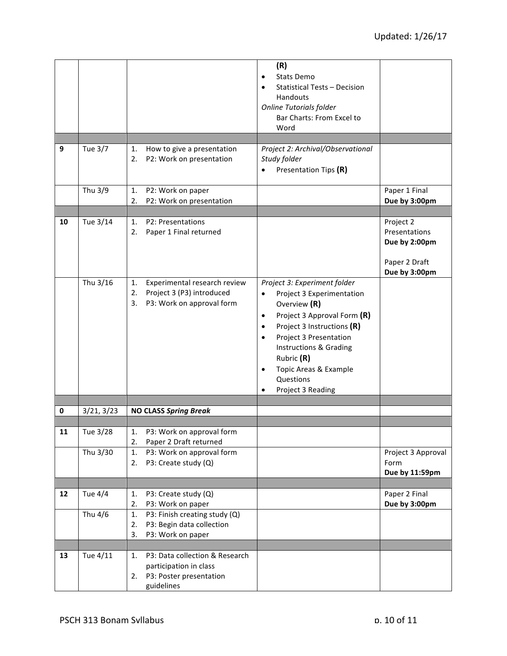|    |                      |                                                                                                               | (R)<br>Stats Demo<br>$\bullet$<br><b>Statistical Tests - Decision</b><br>Handouts<br><b>Online Tutorials folder</b><br>Bar Charts: From Excel to<br>Word                                                                                                                                                                                    |                                                                               |
|----|----------------------|---------------------------------------------------------------------------------------------------------------|---------------------------------------------------------------------------------------------------------------------------------------------------------------------------------------------------------------------------------------------------------------------------------------------------------------------------------------------|-------------------------------------------------------------------------------|
|    |                      |                                                                                                               |                                                                                                                                                                                                                                                                                                                                             |                                                                               |
| 9  | Tue 3/7              | How to give a presentation<br>1.<br>2.<br>P2: Work on presentation                                            | Project 2: Archival/Observational<br>Study folder<br>Presentation Tips (R)                                                                                                                                                                                                                                                                  |                                                                               |
|    | Thu 3/9              | 1.<br>P2: Work on paper<br>P2: Work on presentation<br>2.                                                     |                                                                                                                                                                                                                                                                                                                                             | Paper 1 Final<br>Due by 3:00pm                                                |
|    |                      |                                                                                                               |                                                                                                                                                                                                                                                                                                                                             |                                                                               |
| 10 | Tue 3/14             | P2: Presentations<br>1.<br>Paper 1 Final returned<br>2.                                                       |                                                                                                                                                                                                                                                                                                                                             | Project 2<br>Presentations<br>Due by 2:00pm<br>Paper 2 Draft<br>Due by 3:00pm |
|    | Thu 3/16             | Experimental research review<br>1.<br>Project 3 (P3) introduced<br>2.<br>P3: Work on approval form<br>3.      | Project 3: Experiment folder<br>Project 3 Experimentation<br>$\bullet$<br>Overview (R)<br>Project 3 Approval Form (R)<br>$\bullet$<br>Project 3 Instructions (R)<br>$\bullet$<br><b>Project 3 Presentation</b><br>$\bullet$<br>Instructions & Grading<br>Rubric (R)<br>Topic Areas & Example<br>$\bullet$<br>Questions<br>Project 3 Reading |                                                                               |
|    |                      | <b>NO CLASS Spring Break</b>                                                                                  |                                                                                                                                                                                                                                                                                                                                             |                                                                               |
| 0  | 3/21, 3/23           |                                                                                                               |                                                                                                                                                                                                                                                                                                                                             |                                                                               |
| 11 | Tue 3/28<br>Thu 3/30 | 1.<br>P3: Work on approval form<br>Paper 2 Draft returned<br>2.<br>1.<br>P3: Work on approval form            |                                                                                                                                                                                                                                                                                                                                             |                                                                               |
|    |                      | P3: Create study (Q)<br>2.                                                                                    |                                                                                                                                                                                                                                                                                                                                             | Project 3 Approval<br>Form<br>Due by 11:59pm                                  |
| 12 | <b>Tue 4/4</b>       | 1.<br>P3: Create study (Q)                                                                                    |                                                                                                                                                                                                                                                                                                                                             | Paper 2 Final                                                                 |
|    |                      | 2.<br>P3: Work on paper                                                                                       |                                                                                                                                                                                                                                                                                                                                             | Due by 3:00pm                                                                 |
|    | Thu 4/6              | 1.<br>P3: Finish creating study (Q)<br>P3: Begin data collection<br>2.<br>3.<br>P3: Work on paper             |                                                                                                                                                                                                                                                                                                                                             |                                                                               |
|    |                      |                                                                                                               |                                                                                                                                                                                                                                                                                                                                             |                                                                               |
| 13 | Tue 4/11             | P3: Data collection & Research<br>1.<br>participation in class<br>P3: Poster presentation<br>2.<br>guidelines |                                                                                                                                                                                                                                                                                                                                             |                                                                               |